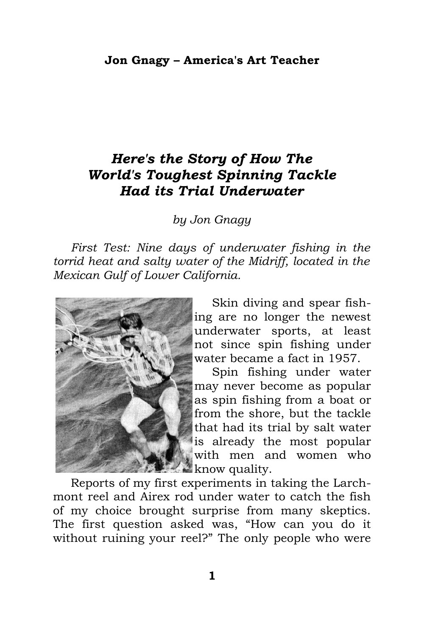## *Here's the Story of How The World's Toughest Spinning Tackle Had its Trial Underwater*

*by Jon Gnagy*

*First Test: Nine days of underwater fishing in the torrid heat and salty water of the Midriff, located in the Mexican Gulf of Lower California.*



Skin diving and spear fishing are no longer the newest underwater sports, at least not since spin fishing under water became a fact in 1957.

Spin fishing under water may never become as popular as spin fishing from a boat or from the shore, but the tackle that had its trial by salt water is already the most popular with men and women who **know** quality.

Reports of my first experiments in taking the Larchmont reel and Airex rod under water to catch the fish of my choice brought surprise from many skeptics. The first question asked was, "How can you do it without ruining your reel?" The only people who were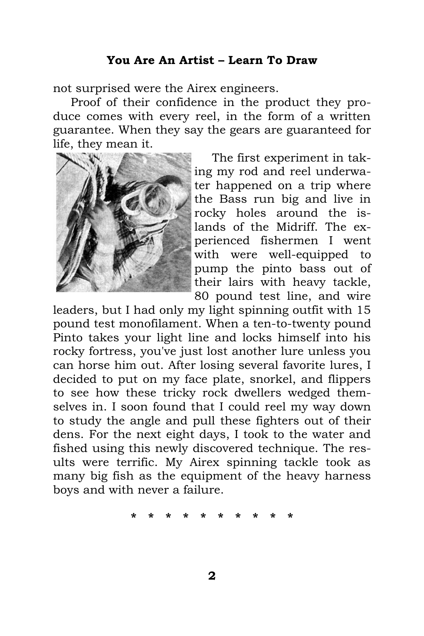## **You Are An Artist – Learn To Draw**

not surprised were the Airex engineers.

Proof of their confidence in the product they produce comes with every reel, in the form of a written guarantee. When they say the gears are guaranteed for life, they mean it.



The first experiment in taking my rod and reel underwater happened on a trip where the Bass run big and live in rocky holes around the islands of the Midriff. The experienced fishermen I went with were well-equipped to pump the pinto bass out of their lairs with heavy tackle, 80 pound test line, and wire

leaders, but I had only my light spinning outfit with 15 pound test monofilament. When a ten-to-twenty pound Pinto takes your light line and locks himself into his rocky fortress, you've just lost another lure unless you can horse him out. After losing several favorite lures, I decided to put on my face plate, snorkel, and flippers to see how these tricky rock dwellers wedged themselves in. I soon found that I could reel my way down to study the angle and pull these fighters out of their dens. For the next eight days, I took to the water and fished using this newly discovered technique. The results were terrific. My Airex spinning tackle took as many big fish as the equipment of the heavy harness boys and with never a failure.

**\* \* \* \* \* \* \* \* \* \***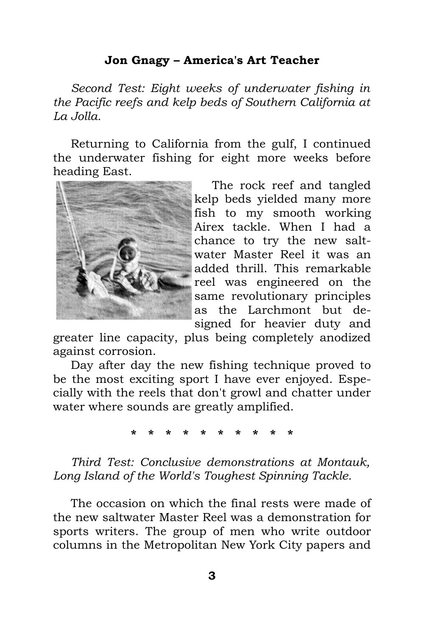## **Jon Gnagy – America's Art Teacher**

*Second Test: Eight weeks of underwater fishing in the Pacific reefs and kelp beds of Southern California at La Jolla.*

Returning to California from the gulf, I continued the underwater fishing for eight more weeks before heading East.



The rock reef and tangled kelp beds yielded many more fish to my smooth working Airex tackle. When I had a chance to try the new saltwater Master Reel it was an added thrill. This remarkable reel was engineered on the same revolutionary principles as the Larchmont but designed for heavier duty and

greater line capacity, plus being completely anodized against corrosion.

Day after day the new fishing technique proved to be the most exciting sport I have ever enjoyed. Especially with the reels that don't growl and chatter under water where sounds are greatly amplified.

**\* \* \* \* \* \* \* \* \* \***

*Third Test: Conclusive demonstrations at Montauk, Long Island of the World's Toughest Spinning Tackle.*

The occasion on which the final rests were made of the new saltwater Master Reel was a demonstration for sports writers. The group of men who write outdoor columns in the Metropolitan New York City papers and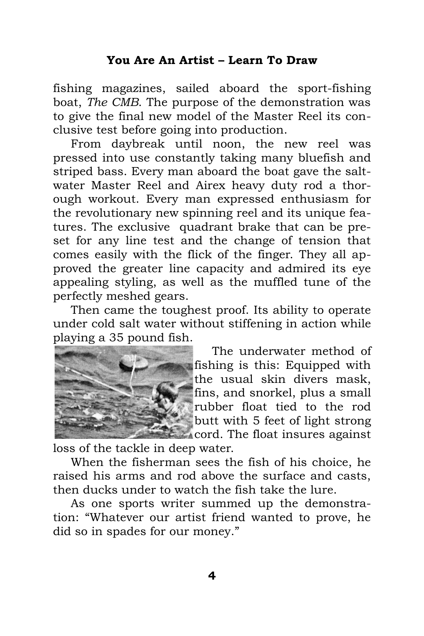fishing magazines, sailed aboard the sport-fishing boat, *The CMB*. The purpose of the demonstration was to give the final new model of the Master Reel its conclusive test before going into production.

From daybreak until noon, the new reel was pressed into use constantly taking many bluefish and striped bass. Every man aboard the boat gave the saltwater Master Reel and Airex heavy duty rod a thorough workout. Every man expressed enthusiasm for the revolutionary new spinning reel and its unique features. The exclusive quadrant brake that can be preset for any line test and the change of tension that comes easily with the flick of the finger. They all approved the greater line capacity and admired its eye appealing styling, as well as the muffled tune of the perfectly meshed gears.

Then came the toughest proof. Its ability to operate under cold salt water without stiffening in action while playing a 35 pound fish.



The underwater method of fishing is this: Equipped with the usual skin divers mask, fins, and snorkel, plus a small rubber float tied to the rod butt with 5 feet of light strong cord. The float insures against

loss of the tackle in deep water.

When the fisherman sees the fish of his choice, he raised his arms and rod above the surface and casts, then ducks under to watch the fish take the lure.

As one sports writer summed up the demonstration: "Whatever our artist friend wanted to prove, he did so in spades for our money."